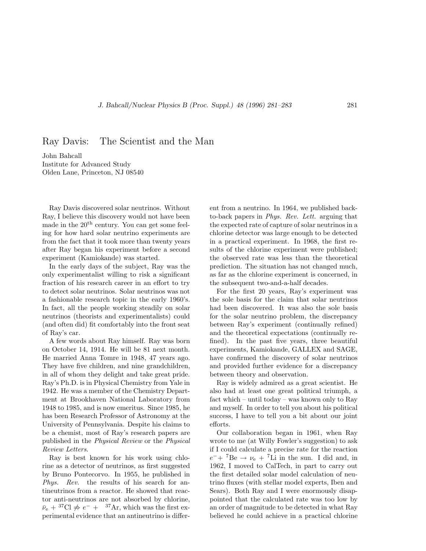Ray Davis: The Scientist and the Man

John Bahcall Institute for Advanced Study Olden Lane, Princeton, NJ 08540

Ray Davis discovered solar neutrinos. Without Ray, I believe this discovery would not have been made in the  $20<sup>th</sup>$  century. You can get some feeling for how hard solar neutrino experiments are from the fact that it took more than twenty years after Ray began his experiment before a second experiment (Kamiokande) was started.

In the early days of the subject, Ray was the only experimentalist willing to risk a significant fraction of his research career in an effort to try to detect solar neutrinos. Solar neutrinos was not a fashionable research topic in the early 1960's. In fact, all the people working steadily on solar neutrinos (theorists and experimentalists) could (and often did) fit comfortably into the front seat of Ray's car.

A few words about Ray himself. Ray was born on October 14, 1914. He will be 81 next month. He married Anna Tomre in 1948, 47 years ago. They have five children, and nine grandchildren, in all of whom they delight and take great pride. Ray's Ph.D. is in Physical Chemistry from Yale in 1942. He was a member of the Chemistry Department at Brookhaven National Laboratory from 1948 to 1985, and is now emeritus. Since 1985, he has been Research Professor of Astronomy at the University of Pennsylvania. Despite his claims to be a chemist, most of Ray's research papers are published in the Physical Review or the Physical Review Letters.

Ray is best known for his work using chlorine as a detector of neutrinos, as first suggested by Bruno Pontecorvo. In 1955, he published in Phys. Rev. the results of his search for antineutrinos from a reactor. He showed that reactor anti-neutrinos are not absorbed by chlorine,  $\bar{\nu}_e$  + <sup>37</sup>Cl  $\neq e^-$  + <sup>37</sup>Ar, which was the first experimental evidence that an antineutrino is different from a neutrino. In 1964, we published backto-back papers in Phys. Rev. Lett. arguing that the expected rate of capture of solar neutrinos in a chlorine detector was large enough to be detected in a practical experiment. In 1968, the first results of the chlorine experiment were published; the observed rate was less than the theoretical prediction. The situation has not changed much, as far as the chlorine experiment is concerned, in the subsequent two-and-a-half decades.

For the first 20 years, Ray's experiment was the sole basis for the claim that solar neutrinos had been discovered. It was also the sole basis for the solar neutrino problem, the discrepancy between Ray's experiment (continually refined) and the theoretical expectations (continually refined). In the past five years, three beautiful experiments, Kamiokande, GALLEX and SAGE, have confirmed the discovery of solar neutrinos and provided further evidence for a discrepancy between theory and observation.

Ray is widely admired as a great scientist. He also had at least one great political triumph, a fact which – until today – was known only to Ray and myself. In order to tell you about his political success, I have to tell you a bit about our joint efforts.

Our collaboration began in 1961, when Ray wrote to me (at Willy Fowler's suggestion) to ask if I could calculate a precise rate for the reaction  $e^-+$ <sup>7</sup>Be  $\rightarrow \nu_e$  + <sup>7</sup>Li in the sun. I did and, in 1962, I moved to CalTech, in part to carry out the first detailed solar model calculation of neutrino fluxes (with stellar model experts, Iben and Sears). Both Ray and I were enormously disappointed that the calculated rate was too low by an order of magnitude to be detected in what Ray believed he could achieve in a practical chlorine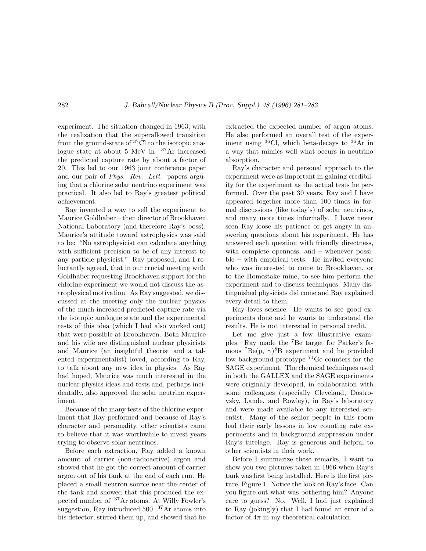experiment. The situation changed in 1963, with the realization that the superallowed transition from the ground-state of  ${}^{37}$ Cl to the isotopic analogue state at about 5 MeV in  $37\text{Ar}$  increased the predicted capture rate by about a factor of 20. This led to our 1963 joint conference paper and our pair of Phys. Rev. Lett. papers arguing that a chlorine solar neutrino experiment was practical. It also led to Ray's greatest political achievement.

Ray invented a way to sell the experiment to Maurice Goldhaber – then director of Brookhaven National Laboratory (and therefore Ray's boss). Maurice's attitude toward astrophysics was said to be: "No astrophysicist can calculate anything with sufficient precision to be of any interest to any particle physicist." Ray proposed, and I reluctantly agreed, that in our crucial meeting with Goldhaber requesting Brookhaven support for the chlorine experiment we would not discuss the astrophysical motivation. As Ray suggested, we discussed at the meeting only the nuclear physics of the much-increased predicted capture rate via the isotopic analogue state and the experimental tests of this idea (which I had also worked out) that were possible at Brookhaven. Both Maurice and his wife are distinguished nuclear physicists and Maurice (an insightful theorist and a talented experimentalist) loved, according to Ray, to talk about any new idea in physics. As Ray had hoped, Maurice was much interested in the nuclear physics ideas and tests and, perhaps incidentally, also approved the solar neutrino experiment.

Because of the many tests of the chlorine experiment that Ray performed and because of Ray's character and personality, other scientists came to believe that it was worthwhile to invest years trying to observe solar neutrinos.

Before each extraction, Ray added a known amount of carrier (non-radioactive) argon and showed that he got the correct amount of carrier argon out of his tank at the end of each run. He placed a small neutron source near the center of the tank and showed that this produced the expected number of <sup>37</sup>Ar atoms. At Willy Fowler's suggestion, Ray introduced  $500^{-37}$ Ar atoms into his detector, stirred them up, and showed that he extracted the expected number of argon atoms. He also performed an overall test of the experiment using  ${}^{36}$ Cl, which beta-decays to  ${}^{36}$ Ar in a way that mimics well what occurs in neutrino absorption.

Ray's character and personal approach to the experiment were as important in gaining credibility for the experiment as the actual tests he performed. Over the past 30 years, Ray and I have appeared together more than 100 times in formal discussions (like today's) of solar neutrinos, and many more times informally. I have never seen Ray loose his patience or get angry in answering questions about his experiment. He has answered each question with friendly directness, with complete openness, and – whenever possible – with empirical tests. He invited everyone who was interested to come to Brookhaven, or to the Homestake mine, to see him perform the experiment and to discuss techniques. Many distinguished physicists did come and Ray explained every detail to them.

Ray loves science. He wants to see good experiments done and he wants to understand the results. He is not interested in personal credit.

Let me give just a few illustrative examples. Ray made the <sup>7</sup>Be target for Parker's famous  ${}^{7}Be(p, \gamma)^{8}B$  experiment and he provided low background prototype <sup>71</sup>Ge counters for the SAGE experiment. The chemical techniques used in both the GALLEX and the SAGE experiments were originally developed, in collaboration with some colleagues (especially Cleveland, Dostrovsky, Lande, and Rowley), in Ray's laboratory and were made available to any interested scientist. Many of the senior people in this room had their early lessons in low counting rate experiments and in background suppression under Ray's tutelage. Ray is generous and helpful to other scientists in their work.

Before I summarize these remarks, I want to show you two pictures taken in 1966 when Ray's tank was first being installed. Here is the first picture, Figure 1. Notice the look on Ray's face. Can you figure out what was bothering him? Anyone care to guess? No. Well, I had just explained to Ray (jokingly) that I had found an error of a factor of  $4\pi$  in my theoretical calculation.